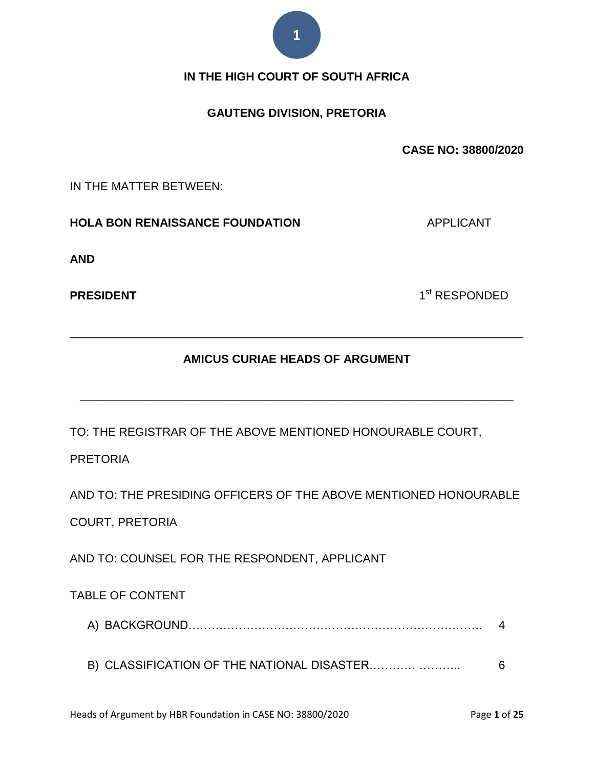

## **IN THE HIGH COURT OF SOUTH AFRICA**

## **GAUTENG DIVISION, PRETORIA**

**CASE NO: 38800/2020**

IN THE MATTER BETWEEN:

**HOLA BON RENAISSANCE FOUNDATION** APPLICANT

**AND**

**PRESIDENT** 

1<sup>st</sup> RESPONDED

## **AMICUS CURIAE HEADS OF ARGUMENT**

**\_\_\_\_\_\_\_\_\_\_\_\_\_\_\_\_\_\_\_\_\_\_\_\_\_\_\_\_\_\_\_\_\_\_\_\_\_\_\_\_\_\_\_\_\_\_\_\_\_\_\_\_\_\_\_\_\_\_\_\_\_\_\_\_\_\_\_**

\_\_\_\_\_\_\_\_\_\_\_\_\_\_\_\_\_\_\_\_\_\_\_\_\_\_\_\_\_\_\_\_\_\_\_\_\_\_\_\_\_\_\_\_\_\_\_\_\_\_\_\_\_\_\_\_\_\_\_\_\_\_\_\_\_\_\_\_\_\_

TO: THE REGISTRAR OF THE ABOVE MENTIONED HONOURABLE COURT,

PRETORIA

AND TO: THE PRESIDING OFFICERS OF THE ABOVE MENTIONED HONOURABLE COURT, PRETORIA

AND TO: COUNSEL FOR THE RESPONDENT, APPLICANT

TABLE OF CONTENT

B) CLASSIFICATION OF THE NATIONAL DISASTER………… ……….. 6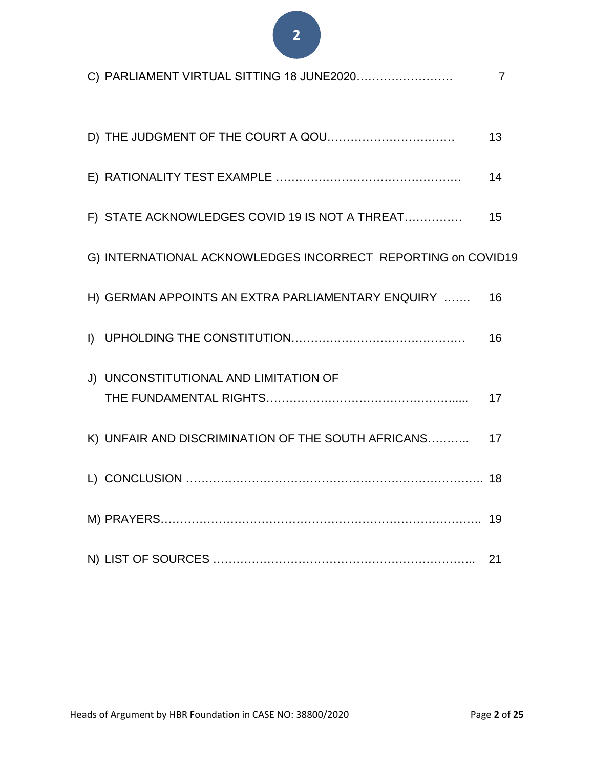| C) PARLIAMENT VIRTUAL SITTING 18 JUNE2020                    | 7  |
|--------------------------------------------------------------|----|
| D) THE JUDGMENT OF THE COURT A QOU                           | 13 |
|                                                              | 14 |
| F) STATE ACKNOWLEDGES COVID 19 IS NOT A THREAT               | 15 |
| G) INTERNATIONAL ACKNOWLEDGES INCORRECT REPORTING on COVID19 |    |
| H) GERMAN APPOINTS AN EXTRA PARLIAMENTARY ENQUIRY            | 16 |
| $\mathsf{I}$                                                 | 16 |
| J) UNCONSTITUTIONAL AND LIMITATION OF                        | 17 |
| K) UNFAIR AND DISCRIMINATION OF THE SOUTH AFRICANS           | 17 |
|                                                              |    |
|                                                              | 19 |
|                                                              | 21 |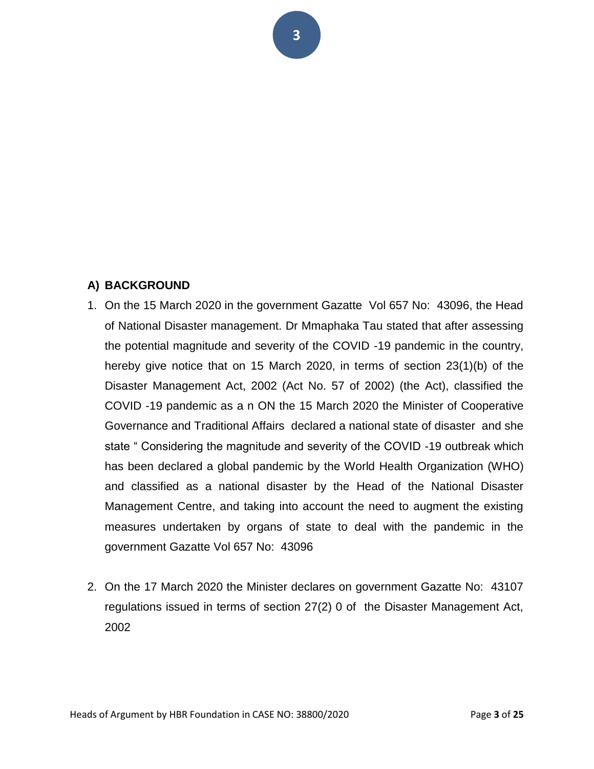## **A) BACKGROUND**

- 1. On the 15 March 2020 in the government Gazatte Vol 657 No: 43096, the Head of National Disaster management. Dr Mmaphaka Tau stated that after assessing the potential magnitude and severity of the COVID -19 pandemic in the country, hereby give notice that on 15 March 2020, in terms of section 23(1)(b) of the Disaster Management Act, 2002 (Act No. 57 of 2002) (the Act), classified the COVID -19 pandemic as a n ON the 15 March 2020 the Minister of Cooperative Governance and Traditional Affairs declared a national state of disaster and she state " Considering the magnitude and severity of the COVID -19 outbreak which has been declared a global pandemic by the World Health Organization (WHO) and classified as a national disaster by the Head of the National Disaster Management Centre, and taking into account the need to augment the existing measures undertaken by organs of state to deal with the pandemic in the government Gazatte Vol 657 No: 43096
- 2. On the 17 March 2020 the Minister declares on government Gazatte No: 43107 regulations issued in terms of section 27(2) 0 of the Disaster Management Act, 2002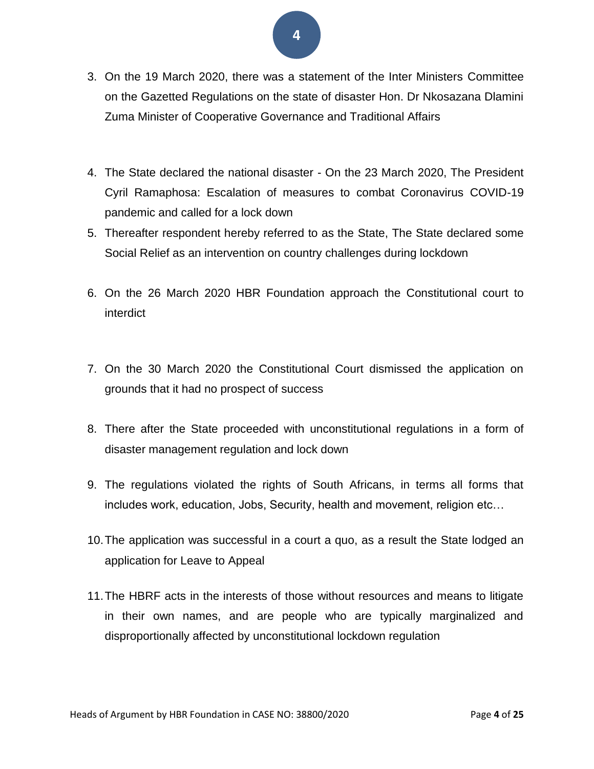- **4**
- 3. On the 19 March 2020, there was a statement of the Inter Ministers Committee on the Gazetted Regulations on the state of disaster Hon. Dr Nkosazana Dlamini Zuma Minister of Cooperative Governance and Traditional Affairs
- 4. The State declared the national disaster On the 23 March 2020, The President Cyril Ramaphosa: Escalation of measures to combat Coronavirus COVID-19 pandemic and called for a lock down
- 5. Thereafter respondent hereby referred to as the State, The State declared some Social Relief as an intervention on country challenges during lockdown
- 6. On the 26 March 2020 HBR Foundation approach the Constitutional court to interdict
- 7. On the 30 March 2020 the Constitutional Court dismissed the application on grounds that it had no prospect of success
- 8. There after the State proceeded with unconstitutional regulations in a form of disaster management regulation and lock down
- 9. The regulations violated the rights of South Africans, in terms all forms that includes work, education, Jobs, Security, health and movement, religion etc…
- 10.The application was successful in a court a quo, as a result the State lodged an application for Leave to Appeal
- 11.The HBRF acts in the interests of those without resources and means to litigate in their own names, and are people who are typically marginalized and disproportionally affected by unconstitutional lockdown regulation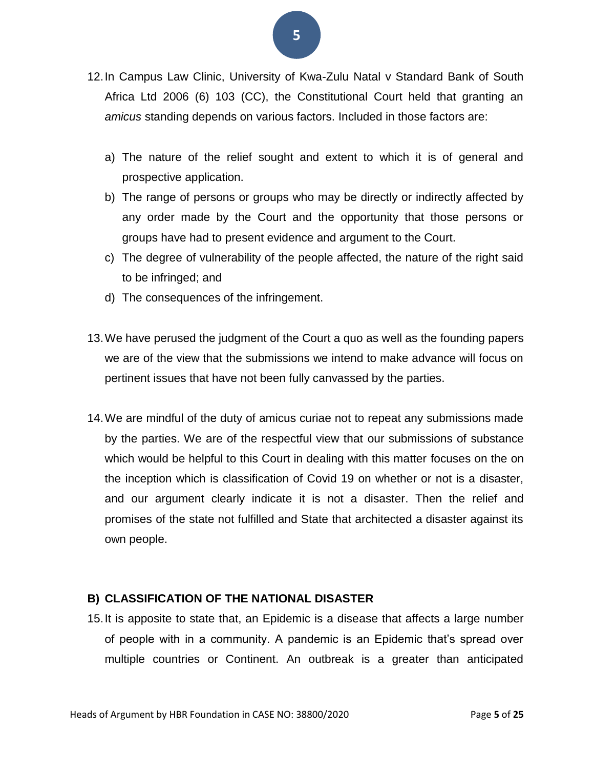- 12.In Campus Law Clinic, University of Kwa-Zulu Natal v Standard Bank of South Africa Ltd 2006 (6) 103 (CC), the Constitutional Court held that granting an *amicus* standing depends on various factors. Included in those factors are:
	- a) The nature of the relief sought and extent to which it is of general and prospective application.
	- b) The range of persons or groups who may be directly or indirectly affected by any order made by the Court and the opportunity that those persons or groups have had to present evidence and argument to the Court.
	- c) The degree of vulnerability of the people affected, the nature of the right said to be infringed; and
	- d) The consequences of the infringement.
- 13.We have perused the judgment of the Court a quo as well as the founding papers we are of the view that the submissions we intend to make advance will focus on pertinent issues that have not been fully canvassed by the parties.
- 14.We are mindful of the duty of amicus curiae not to repeat any submissions made by the parties. We are of the respectful view that our submissions of substance which would be helpful to this Court in dealing with this matter focuses on the on the inception which is classification of Covid 19 on whether or not is a disaster, and our argument clearly indicate it is not a disaster. Then the relief and promises of the state not fulfilled and State that architected a disaster against its own people.

## **B) CLASSIFICATION OF THE NATIONAL DISASTER**

15.It is apposite to state that, an Epidemic is a disease that affects a large number of people with in a community. A pandemic is an Epidemic that's spread over multiple countries or Continent. An outbreak is a greater than anticipated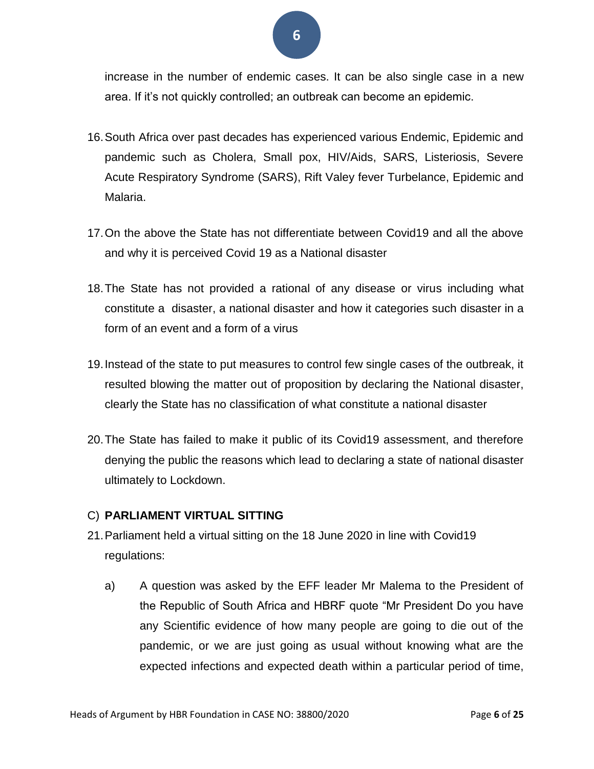increase in the number of endemic cases. It can be also single case in a new area. If it's not quickly controlled; an outbreak can become an epidemic.

- 16.South Africa over past decades has experienced various Endemic, Epidemic and pandemic such as Cholera, Small pox, HIV/Aids, SARS, Listeriosis, Severe Acute Respiratory Syndrome (SARS), Rift Valey fever Turbelance, Epidemic and Malaria.
- 17.On the above the State has not differentiate between Covid19 and all the above and why it is perceived Covid 19 as a National disaster
- 18.The State has not provided a rational of any disease or virus including what constitute a disaster, a national disaster and how it categories such disaster in a form of an event and a form of a virus
- 19.Instead of the state to put measures to control few single cases of the outbreak, it resulted blowing the matter out of proposition by declaring the National disaster, clearly the State has no classification of what constitute a national disaster
- 20.The State has failed to make it public of its Covid19 assessment, and therefore denying the public the reasons which lead to declaring a state of national disaster ultimately to Lockdown.

## C) **PARLIAMENT VIRTUAL SITTING**

- 21.Parliament held a virtual sitting on the 18 June 2020 in line with Covid19 regulations:
	- a) A question was asked by the EFF leader Mr Malema to the President of the Republic of South Africa and HBRF quote "Mr President Do you have any Scientific evidence of how many people are going to die out of the pandemic, or we are just going as usual without knowing what are the expected infections and expected death within a particular period of time,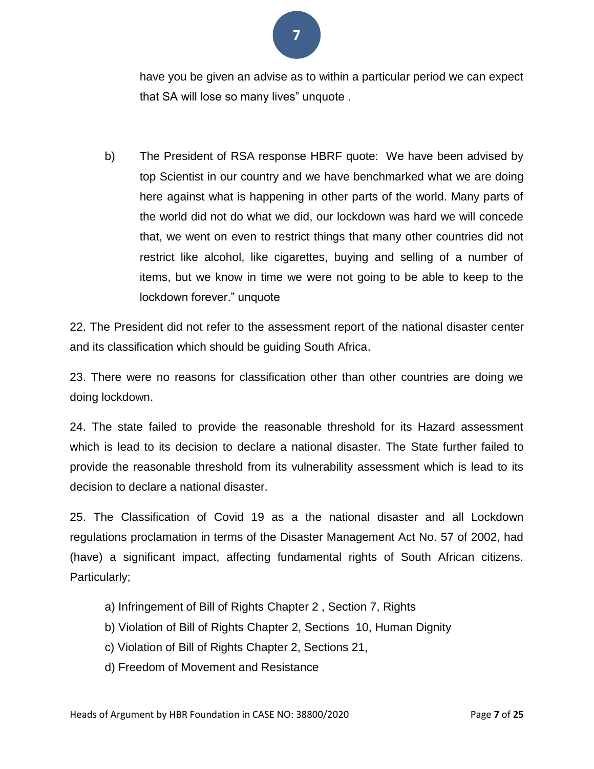

have you be given an advise as to within a particular period we can expect that SA will lose so many lives" unquote .

b) The President of RSA response HBRF quote: We have been advised by top Scientist in our country and we have benchmarked what we are doing here against what is happening in other parts of the world. Many parts of the world did not do what we did, our lockdown was hard we will concede that, we went on even to restrict things that many other countries did not restrict like alcohol, like cigarettes, buying and selling of a number of items, but we know in time we were not going to be able to keep to the lockdown forever." unquote

22. The President did not refer to the assessment report of the national disaster center and its classification which should be guiding South Africa.

23. There were no reasons for classification other than other countries are doing we doing lockdown.

24. The state failed to provide the reasonable threshold for its Hazard assessment which is lead to its decision to declare a national disaster. The State further failed to provide the reasonable threshold from its vulnerability assessment which is lead to its decision to declare a national disaster.

25. The Classification of Covid 19 as a the national disaster and all Lockdown regulations proclamation in terms of the Disaster Management Act No. 57 of 2002, had (have) a significant impact, affecting fundamental rights of South African citizens. Particularly;

- a) Infringement of Bill of Rights Chapter 2 , Section 7, Rights
- b) Violation of Bill of Rights Chapter 2, Sections 10, Human Dignity
- c) Violation of Bill of Rights Chapter 2, Sections 21,
- d) Freedom of Movement and Resistance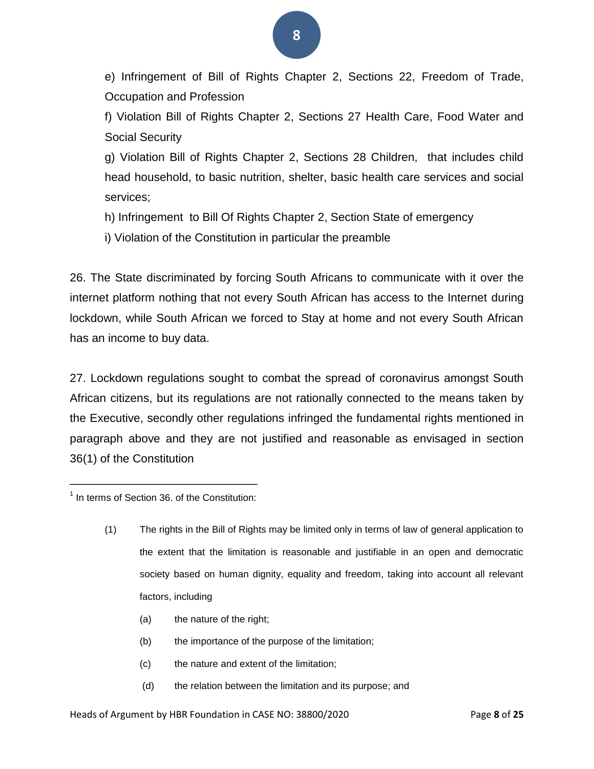e) Infringement of Bill of Rights Chapter 2, Sections 22, Freedom of Trade, Occupation and Profession

f) Violation Bill of Rights Chapter 2, Sections 27 Health Care, Food Water and Social Security

g) Violation Bill of Rights Chapter 2, Sections 28 Children, that includes child head household, to basic nutrition, shelter, basic health care services and social services;

- h) Infringement to Bill Of Rights Chapter 2, Section State of emergency
- i) Violation of the Constitution in particular the preamble

26. The State discriminated by forcing South Africans to communicate with it over the internet platform nothing that not every South African has access to the Internet during lockdown, while South African we forced to Stay at home and not every South African has an income to buy data.

27. Lockdown regulations sought to combat the spread of coronavirus amongst South African citizens, but its regulations are not rationally connected to the means taken by the Executive, secondly other regulations infringed the fundamental rights mentioned in paragraph above and they are not justified and reasonable as envisaged in section 36(1) of the Constitution

- (a) the nature of the right;
- (b) the importance of the purpose of the limitation;
- (c) the nature and extent of the limitation;
- (d) the relation between the limitation and its purpose; and

\_\_\_\_\_\_\_\_\_\_\_\_\_\_\_\_\_\_\_\_\_\_\_\_\_\_\_\_\_ <sup>1</sup> In terms of Section 36. of the Constitution:

<sup>(1)</sup> The rights in the Bill of Rights may be limited only in terms of law of general application to the extent that the limitation is reasonable and justifiable in an open and democratic society based on human dignity, equality and freedom, taking into account all relevant factors, including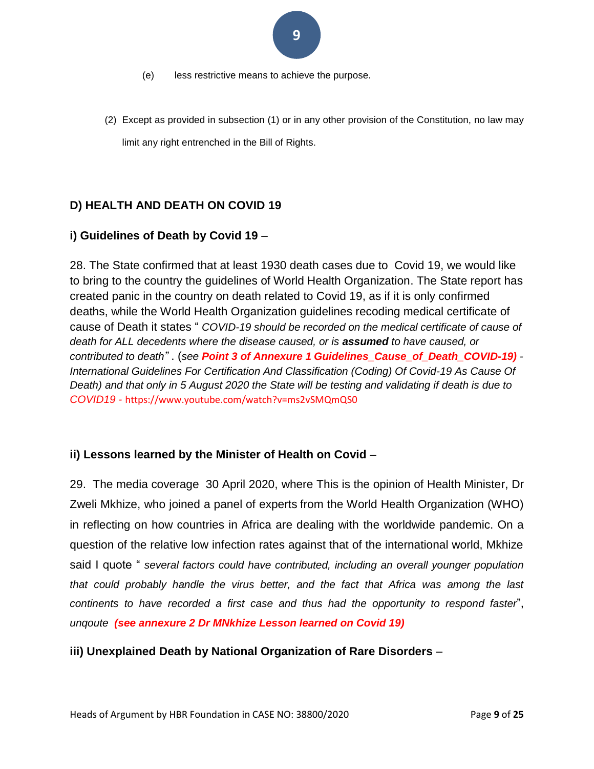- (e) less restrictive means to achieve the purpose.
- (2) Except as provided in subsection (1) or in any other provision of the Constitution, no law may limit any right entrenched in the Bill of Rights.

## **D) HEALTH AND DEATH ON COVID 19**

## **i) Guidelines of Death by Covid 19** –

28. The State confirmed that at least 1930 death cases due to Covid 19, we would like to bring to the country the guidelines of World Health Organization. The State report has created panic in the country on death related to Covid 19, as if it is only confirmed deaths, while the World Health Organization guidelines recoding medical certificate of cause of Death it states " *COVID-19 should be recorded on the medical certificate of cause of death for ALL decedents where the disease caused, or is assumed to have caused, or contributed to death"* . (*see Point 3 of Annexure 1 Guidelines\_Cause\_of\_Death\_COVID-19) - International Guidelines For Certification And Classification (Coding) Of Covid-19 As Cause Of*  Death) and that only in 5 August 2020 the State will be testing and validating if death is due to *COVID19 -* https://www.youtube.com/watch?v=ms2vSMQmQS0

## **ii) Lessons learned by the Minister of Health on Covid** –

29. The media coverage 30 April 2020, where This is the opinion of Health Minister, Dr Zweli Mkhize, who joined a panel of experts from the World Health Organization (WHO) in reflecting on how countries in Africa are dealing with the worldwide pandemic. On a question of the relative low infection rates against that of the international world, Mkhize said I quote " *several factors could have contributed, including an overall younger population that could probably handle the virus better, and the fact that Africa was among the last continents to have recorded a first case and thus had the opportunity to respond faster*", *unqoute (see annexure 2 Dr MNkhize Lesson learned on Covid 19)*

## **iii) Unexplained Death by National Organization of Rare Disorders** –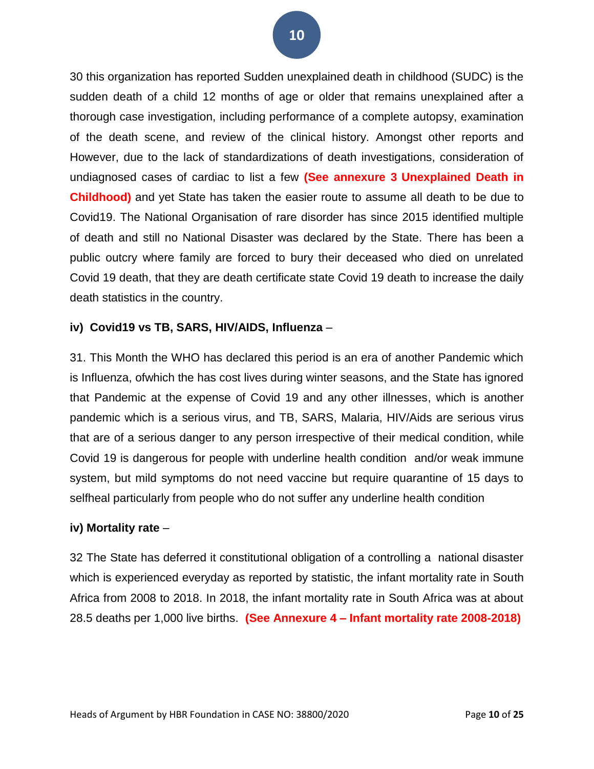30 this organization has reported Sudden unexplained death in childhood (SUDC) is the sudden death of a child 12 months of age or older that remains unexplained after a thorough case investigation, including performance of a complete autopsy, examination of the death scene, and review of the clinical history. Amongst other reports and However, due to the lack of standardizations of death investigations, consideration of undiagnosed cases of cardiac to list a few **(See annexure 3 Unexplained Death in Childhood)** and yet State has taken the easier route to assume all death to be due to Covid19. The National Organisation of rare disorder has since 2015 identified multiple of death and still no National Disaster was declared by the State. There has been a public outcry where family are forced to bury their deceased who died on unrelated Covid 19 death, that they are death certificate state Covid 19 death to increase the daily death statistics in the country.

## **iv) Covid19 vs TB, SARS, HIV/AIDS, Influenza** –

31. This Month the WHO has declared this period is an era of another Pandemic which is Influenza, ofwhich the has cost lives during winter seasons, and the State has ignored that Pandemic at the expense of Covid 19 and any other illnesses, which is another pandemic which is a serious virus, and TB, SARS, Malaria, HIV/Aids are serious virus that are of a serious danger to any person irrespective of their medical condition, while Covid 19 is dangerous for people with underline health condition and/or weak immune system, but mild symptoms do not need vaccine but require quarantine of 15 days to selfheal particularly from people who do not suffer any underline health condition

#### **iv) Mortality rate** –

32 The State has deferred it constitutional obligation of a controlling a national disaster which is experienced everyday as reported by statistic, the infant mortality rate in South Africa from 2008 to 2018. In 2018, the infant mortality rate in South Africa was at about 28.5 deaths per 1,000 live births. **(See Annexure 4 – Infant mortality rate 2008-2018)**

**10**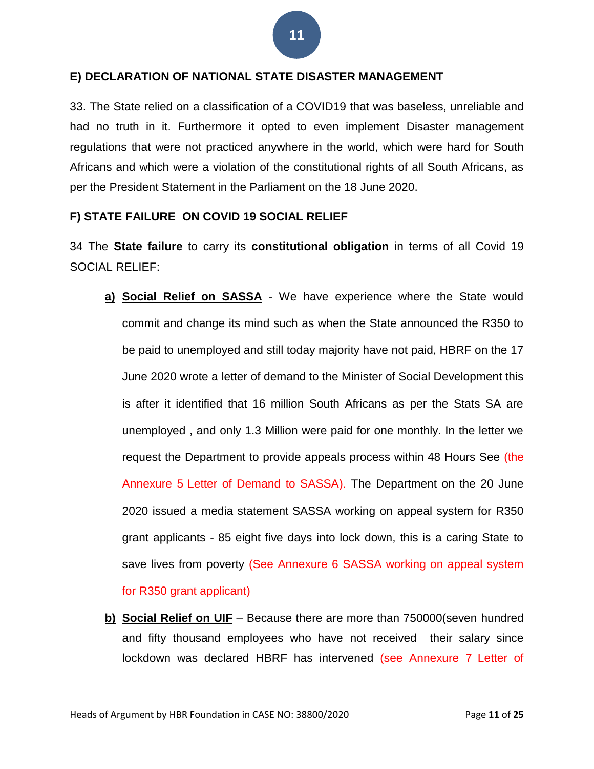#### **E) DECLARATION OF NATIONAL STATE DISASTER MANAGEMENT**

33. The State relied on a classification of a COVID19 that was baseless, unreliable and had no truth in it. Furthermore it opted to even implement Disaster management regulations that were not practiced anywhere in the world, which were hard for South Africans and which were a violation of the constitutional rights of all South Africans, as per the President Statement in the Parliament on the 18 June 2020.

#### **F) STATE FAILURE ON COVID 19 SOCIAL RELIEF**

34 The **State failure** to carry its **constitutional obligation** in terms of all Covid 19 SOCIAL RELIEF:

- **a) Social Relief on SASSA** We have experience where the State would commit and change its mind such as when the State announced the R350 to be paid to unemployed and still today majority have not paid, HBRF on the 17 June 2020 wrote a letter of demand to the Minister of Social Development this is after it identified that 16 million South Africans as per the Stats SA are unemployed , and only 1.3 Million were paid for one monthly. In the letter we request the Department to provide appeals process within 48 Hours See (the Annexure 5 Letter of Demand to SASSA). The Department on the 20 June 2020 issued a media statement SASSA working on appeal system for R350 grant applicants - 85 eight five days into lock down, this is a caring State to save lives from poverty (See Annexure 6 SASSA working on appeal system for R350 grant applicant)
- **b) Social Relief on UIF** Because there are more than 750000(seven hundred and fifty thousand employees who have not received their salary since lockdown was declared HBRF has intervened (see Annexure 7 Letter of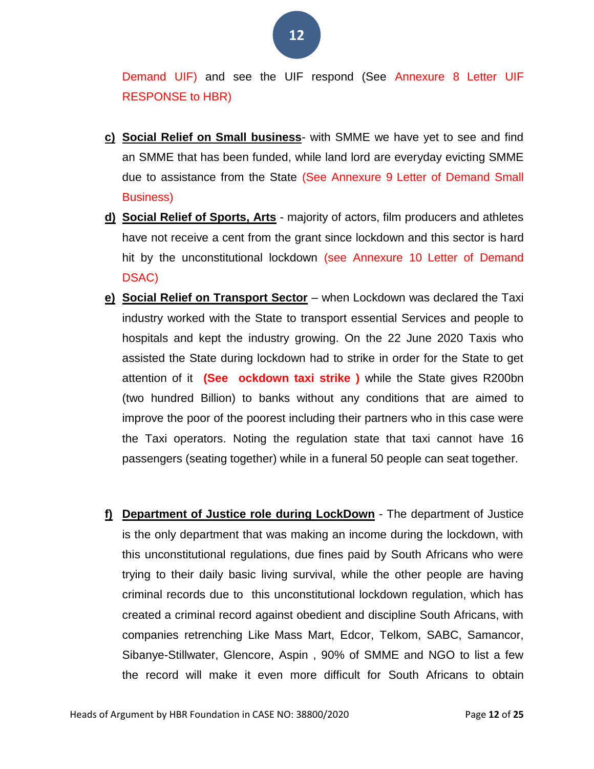Demand UIF) and see the UIF respond (See Annexure 8 Letter UIF RESPONSE to HBR)

- **c) Social Relief on Small business** with SMME we have yet to see and find an SMME that has been funded, while land lord are everyday evicting SMME due to assistance from the State (See Annexure 9 Letter of Demand Small Business)
- **d) Social Relief of Sports, Arts** majority of actors, film producers and athletes have not receive a cent from the grant since lockdown and this sector is hard hit by the unconstitutional lockdown (see Annexure 10 Letter of Demand DSAC)
- **e) Social Relief on Transport Sector** when Lockdown was declared the Taxi industry worked with the State to transport essential Services and people to hospitals and kept the industry growing. On the 22 June 2020 Taxis who assisted the State during lockdown had to strike in order for the State to get attention of it **(See ockdown taxi strike )** while the State gives R200bn (two hundred Billion) to banks without any conditions that are aimed to improve the poor of the poorest including their partners who in this case were the Taxi operators. Noting the regulation state that taxi cannot have 16 passengers (seating together) while in a funeral 50 people can seat together.
- **f) Department of Justice role during LockDown** The department of Justice is the only department that was making an income during the lockdown, with this unconstitutional regulations, due fines paid by South Africans who were trying to their daily basic living survival, while the other people are having criminal records due to this unconstitutional lockdown regulation, which has created a criminal record against obedient and discipline South Africans, with companies retrenching Like Mass Mart, Edcor, Telkom, SABC, Samancor, Sibanye-Stillwater, Glencore, Aspin , 90% of SMME and NGO to list a few the record will make it even more difficult for South Africans to obtain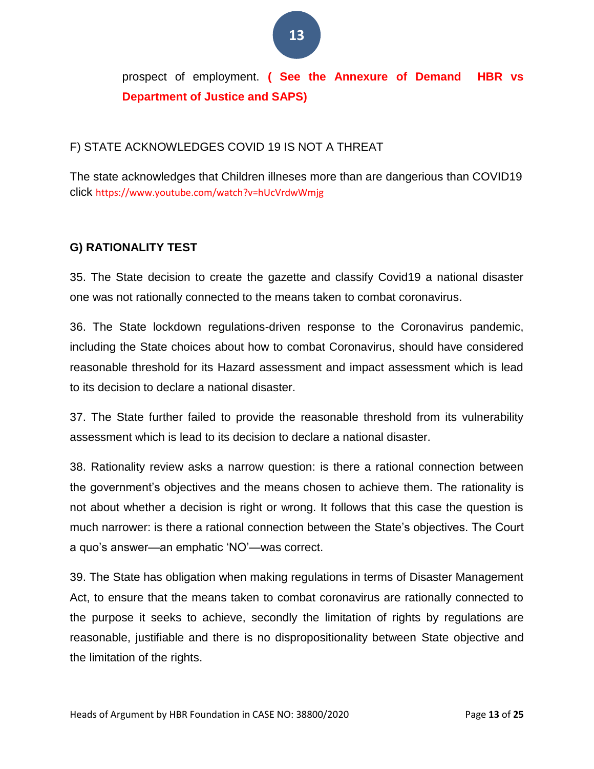prospect of employment. **( See the Annexure of Demand HBR vs Department of Justice and SAPS)**

## F) STATE ACKNOWLEDGES COVID 19 IS NOT A THREAT

The state acknowledges that Children illneses more than are dangerious than COVID19 click https://www.youtube.com/watch?v=hUcVrdwWmjg

## **G) RATIONALITY TEST**

35. The State decision to create the gazette and classify Covid19 a national disaster one was not rationally connected to the means taken to combat coronavirus.

36. The State lockdown regulations-driven response to the Coronavirus pandemic, including the State choices about how to combat Coronavirus, should have considered reasonable threshold for its Hazard assessment and impact assessment which is lead to its decision to declare a national disaster.

37. The State further failed to provide the reasonable threshold from its vulnerability assessment which is lead to its decision to declare a national disaster.

38. Rationality review asks a narrow question: is there a rational connection between the government's objectives and the means chosen to achieve them. The rationality is not about whether a decision is right or wrong. It follows that this case the question is much narrower: is there a rational connection between the State's objectives. The Court a quo's answer—an emphatic 'NO'—was correct.

39. The State has obligation when making regulations in terms of Disaster Management Act, to ensure that the means taken to combat coronavirus are rationally connected to the purpose it seeks to achieve, secondly the limitation of rights by regulations are reasonable, justifiable and there is no dispropositionality between State objective and the limitation of the rights.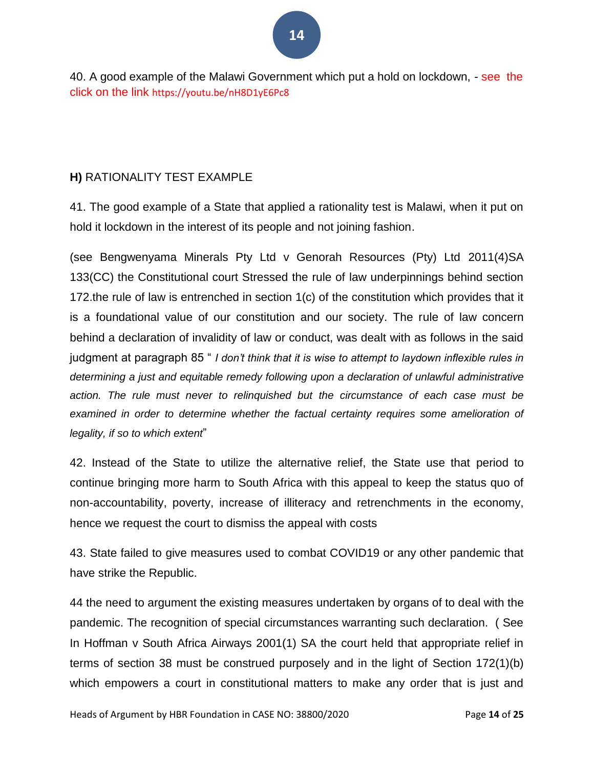40. A good example of the Malawi Government which put a hold on lockdown, - see the click on the link https://youtu.be/nH8D1yE6Pc8

## **H)** RATIONALITY TEST EXAMPLE

41. The good example of a State that applied a rationality test is Malawi, when it put on hold it lockdown in the interest of its people and not joining fashion.

(see Bengwenyama Minerals Pty Ltd v Genorah Resources (Pty) Ltd 2011(4)SA 133(CC) the Constitutional court Stressed the rule of law underpinnings behind section 172.the rule of law is entrenched in section 1(c) of the constitution which provides that it is a foundational value of our constitution and our society. The rule of law concern behind a declaration of invalidity of law or conduct, was dealt with as follows in the said judgment at paragraph 85 " *I don't think that it is wise to attempt to laydown inflexible rules in determining a just and equitable remedy following upon a declaration of unlawful administrative action. The rule must never to relinquished but the circumstance of each case must be*  examined in order to determine whether the factual certainty requires some amelioration of *legality, if so to which extent*"

42. Instead of the State to utilize the alternative relief, the State use that period to continue bringing more harm to South Africa with this appeal to keep the status quo of non-accountability, poverty, increase of illiteracy and retrenchments in the economy, hence we request the court to dismiss the appeal with costs

43. State failed to give measures used to combat COVID19 or any other pandemic that have strike the Republic.

44 the need to argument the existing measures undertaken by organs of to deal with the pandemic. The recognition of special circumstances warranting such declaration. ( See In Hoffman v South Africa Airways 2001(1) SA the court held that appropriate relief in terms of section 38 must be construed purposely and in the light of Section 172(1)(b) which empowers a court in constitutional matters to make any order that is just and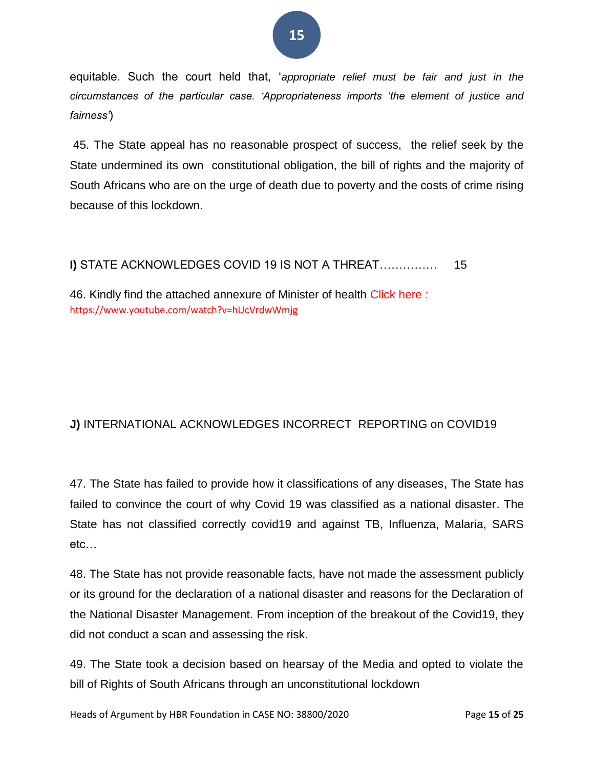## equitable. Such the court held that, '*appropriate relief must be fair and just in the circumstances of the particular case. 'Appropriateness imports 'the element of justice and fairness'*)

45. The State appeal has no reasonable prospect of success, the relief seek by the State undermined its own constitutional obligation, the bill of rights and the majority of South Africans who are on the urge of death due to poverty and the costs of crime rising because of this lockdown.

## **I)** STATE ACKNOWLEDGES COVID 19 IS NOT A THREAT…………… 15

46. Kindly find the attached annexure of Minister of health Click here : https://www.youtube.com/watch?v=hUcVrdwWmjg

## **J)** INTERNATIONAL ACKNOWLEDGES INCORRECT REPORTING on COVID19

47. The State has failed to provide how it classifications of any diseases, The State has failed to convince the court of why Covid 19 was classified as a national disaster. The State has not classified correctly covid19 and against TB, Influenza, Malaria, SARS etc…

48. The State has not provide reasonable facts, have not made the assessment publicly or its ground for the declaration of a national disaster and reasons for the Declaration of the National Disaster Management. From inception of the breakout of the Covid19, they did not conduct a scan and assessing the risk.

49. The State took a decision based on hearsay of the Media and opted to violate the bill of Rights of South Africans through an unconstitutional lockdown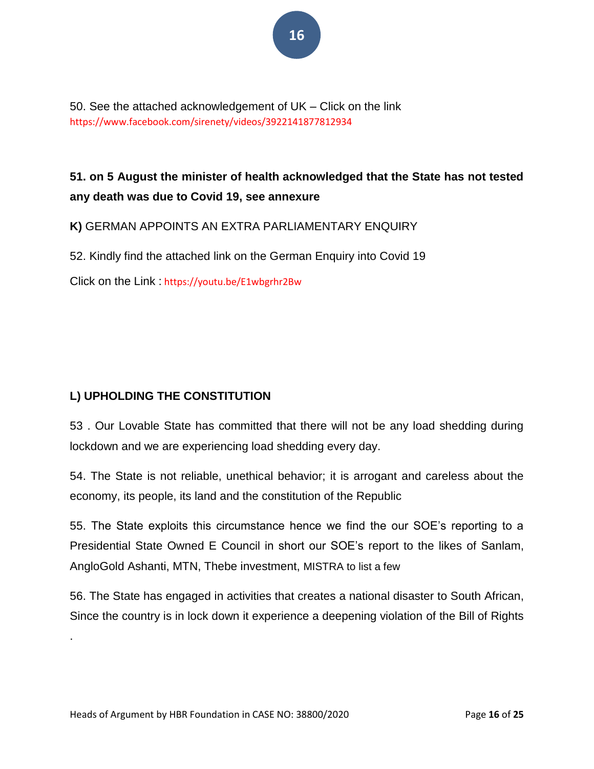50. See the attached acknowledgement of UK – Click on the link https://www.facebook.com/sirenety/videos/3922141877812934

## **51. on 5 August the minister of health acknowledged that the State has not tested any death was due to Covid 19, see annexure**

**K)** GERMAN APPOINTS AN EXTRA PARLIAMENTARY ENQUIRY

52. Kindly find the attached link on the German Enquiry into Covid 19

Click on the Link : https://youtu.be/E1wbgrhr2Bw

## **L) UPHOLDING THE CONSTITUTION**

.

53 . Our Lovable State has committed that there will not be any load shedding during lockdown and we are experiencing load shedding every day.

54. The State is not reliable, unethical behavior; it is arrogant and careless about the economy, its people, its land and the constitution of the Republic

55. The State exploits this circumstance hence we find the our SOE's reporting to a Presidential State Owned E Council in short our SOE's report to the likes of Sanlam, AngloGold Ashanti, MTN, Thebe investment, MISTRA to list a few

56. The State has engaged in activities that creates a national disaster to South African, Since the country is in lock down it experience a deepening violation of the Bill of Rights

Heads of Argument by HBR Foundation in CASE NO: 38800/2020 Page **16** of **25**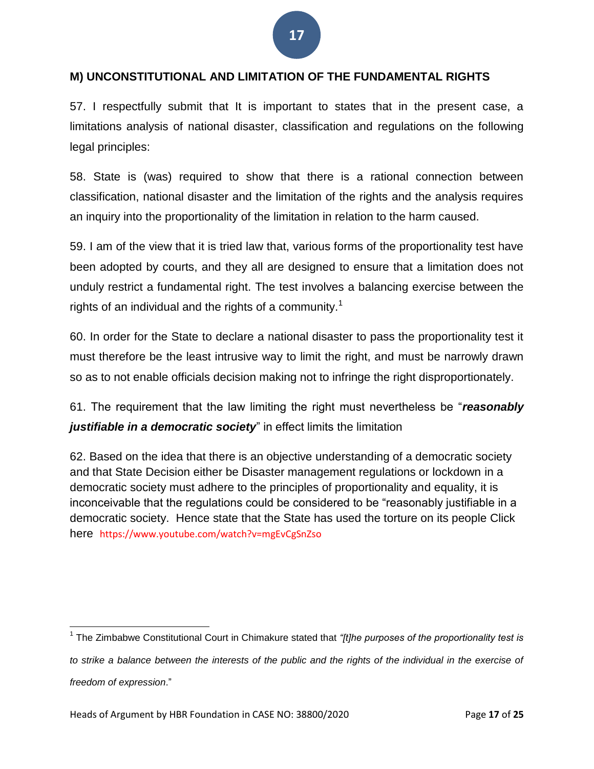## **M) UNCONSTITUTIONAL AND LIMITATION OF THE FUNDAMENTAL RIGHTS**

57. I respectfully submit that It is important to states that in the present case, a limitations analysis of national disaster, classification and regulations on the following legal principles:

58. State is (was) required to show that there is a rational connection between classification, national disaster and the limitation of the rights and the analysis requires an inquiry into the proportionality of the limitation in relation to the harm caused.

59. I am of the view that it is tried law that, various forms of the proportionality test have been adopted by courts, and they all are designed to ensure that a limitation does not unduly restrict a fundamental right. The test involves a balancing exercise between the rights of an individual and the rights of a community.<sup>1</sup>

60. In order for the State to declare a national disaster to pass the proportionality test it must therefore be the least intrusive way to limit the right, and must be narrowly drawn so as to not enable officials decision making not to infringe the right disproportionately.

61. The requirement that the law limiting the right must nevertheless be "*reasonably*  justifiable in a democratic society" in effect limits the limitation

62. Based on the idea that there is an objective understanding of a democratic society and that State Decision either be Disaster management regulations or lockdown in a democratic society must adhere to the principles of proportionality and equality, it is inconceivable that the regulations could be considered to be "reasonably justifiable in a democratic society. Hence state that the State has used the torture on its people Click here https://www.youtube.com/watch?v=mgEvCgSnZso

 1 The Zimbabwe Constitutional Court in Chimakure stated that *"[t]he purposes of the proportionality test is to strike a balance between the interests of the public and the rights of the individual in the exercise of freedom of expression*."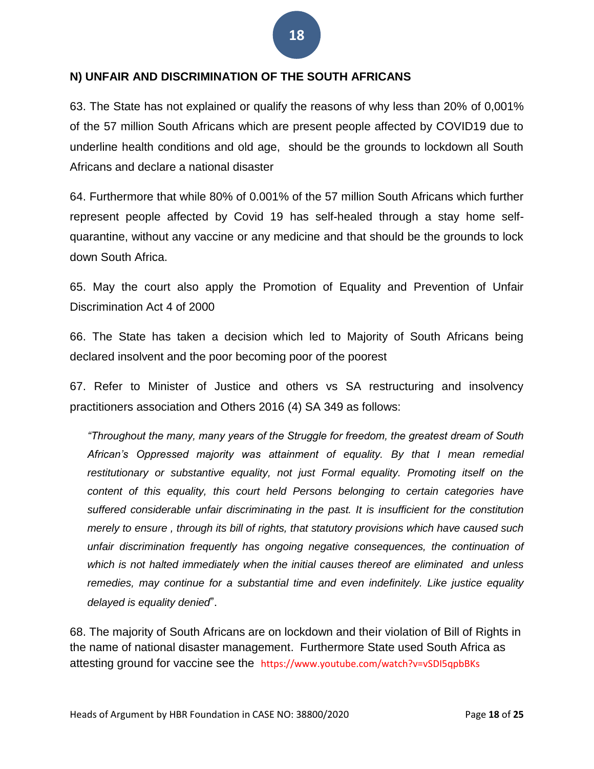## **N) UNFAIR AND DISCRIMINATION OF THE SOUTH AFRICANS**

63. The State has not explained or qualify the reasons of why less than 20% of 0,001% of the 57 million South Africans which are present people affected by COVID19 due to underline health conditions and old age, should be the grounds to lockdown all South Africans and declare a national disaster

64. Furthermore that while 80% of 0.001% of the 57 million South Africans which further represent people affected by Covid 19 has self-healed through a stay home selfquarantine, without any vaccine or any medicine and that should be the grounds to lock down South Africa.

65. May the court also apply the Promotion of Equality and Prevention of Unfair Discrimination Act 4 of 2000

66. The State has taken a decision which led to Majority of South Africans being declared insolvent and the poor becoming poor of the poorest

67. Refer to Minister of Justice and others vs SA restructuring and insolvency practitioners association and Others 2016 (4) SA 349 as follows:

*"Throughout the many, many years of the Struggle for freedom, the greatest dream of South African's Oppressed majority was attainment of equality. By that I mean remedial restitutionary or substantive equality, not just Formal equality. Promoting itself on the content of this equality, this court held Persons belonging to certain categories have suffered considerable unfair discriminating in the past. It is insufficient for the constitution merely to ensure , through its bill of rights, that statutory provisions which have caused such unfair discrimination frequently has ongoing negative consequences, the continuation of which is not halted immediately when the initial causes thereof are eliminated and unless remedies, may continue for a substantial time and even indefinitely. Like justice equality delayed is equality denied*".

68. The majority of South Africans are on lockdown and their violation of Bill of Rights in the name of national disaster management. Furthermore State used South Africa as attesting ground for vaccine see the https://www.youtube.com/watch?v=vSDI5qpbBKs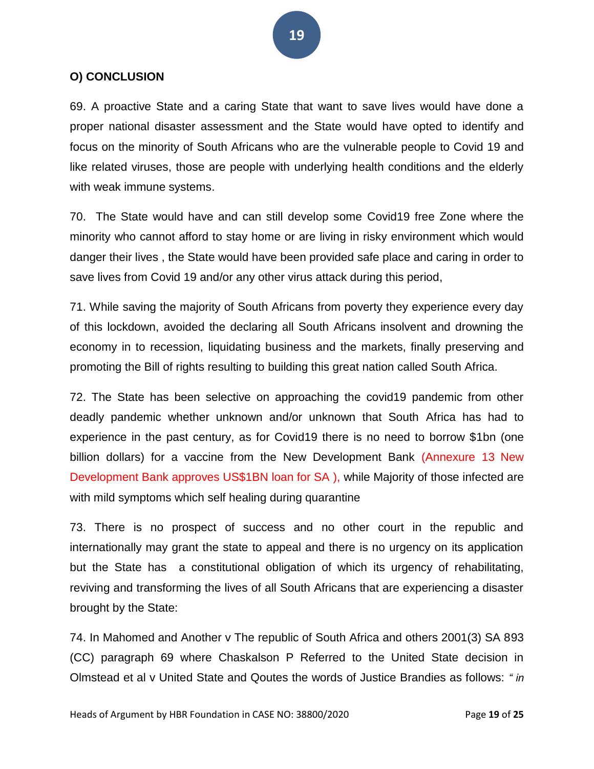## **O) CONCLUSION**

69. A proactive State and a caring State that want to save lives would have done a proper national disaster assessment and the State would have opted to identify and focus on the minority of South Africans who are the vulnerable people to Covid 19 and like related viruses, those are people with underlying health conditions and the elderly with weak immune systems.

70. The State would have and can still develop some Covid19 free Zone where the minority who cannot afford to stay home or are living in risky environment which would danger their lives , the State would have been provided safe place and caring in order to save lives from Covid 19 and/or any other virus attack during this period,

71. While saving the majority of South Africans from poverty they experience every day of this lockdown, avoided the declaring all South Africans insolvent and drowning the economy in to recession, liquidating business and the markets, finally preserving and promoting the Bill of rights resulting to building this great nation called South Africa.

72. The State has been selective on approaching the covid19 pandemic from other deadly pandemic whether unknown and/or unknown that South Africa has had to experience in the past century, as for Covid19 there is no need to borrow \$1bn (one billion dollars) for a vaccine from the New Development Bank (Annexure 13 New Development Bank approves US\$1BN loan for SA ), while Majority of those infected are with mild symptoms which self healing during quarantine

73. There is no prospect of success and no other court in the republic and internationally may grant the state to appeal and there is no urgency on its application but the State has a constitutional obligation of which its urgency of rehabilitating, reviving and transforming the lives of all South Africans that are experiencing a disaster brought by the State:

74. In Mahomed and Another v The republic of South Africa and others 2001(3) SA 893 (CC) paragraph 69 where Chaskalson P Referred to the United State decision in Olmstead et al v United State and Qoutes the words of Justice Brandies as follows: *" in*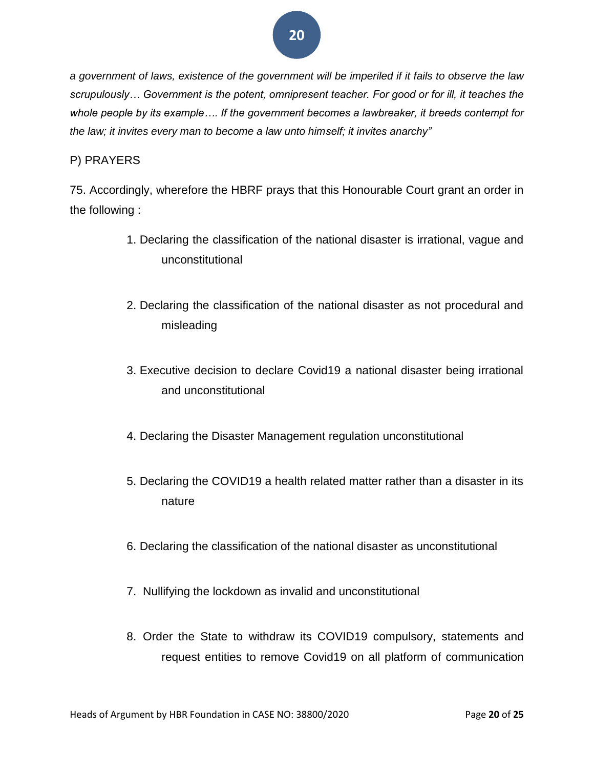*a government of laws, existence of the government will be imperiled if it fails to observe the law scrupulously… Government is the potent, omnipresent teacher. For good or for ill, it teaches the whole people by its example…. If the government becomes a lawbreaker, it breeds contempt for the law; it invites every man to become a law unto himself; it invites anarchy"*

## P) PRAYERS

75. Accordingly, wherefore the HBRF prays that this Honourable Court grant an order in the following :

- 1. Declaring the classification of the national disaster is irrational, vague and unconstitutional
- 2. Declaring the classification of the national disaster as not procedural and misleading
- 3. Executive decision to declare Covid19 a national disaster being irrational and unconstitutional
- 4. Declaring the Disaster Management regulation unconstitutional
- 5. Declaring the COVID19 a health related matter rather than a disaster in its nature
- 6. Declaring the classification of the national disaster as unconstitutional
- 7. Nullifying the lockdown as invalid and unconstitutional
- 8. Order the State to withdraw its COVID19 compulsory, statements and request entities to remove Covid19 on all platform of communication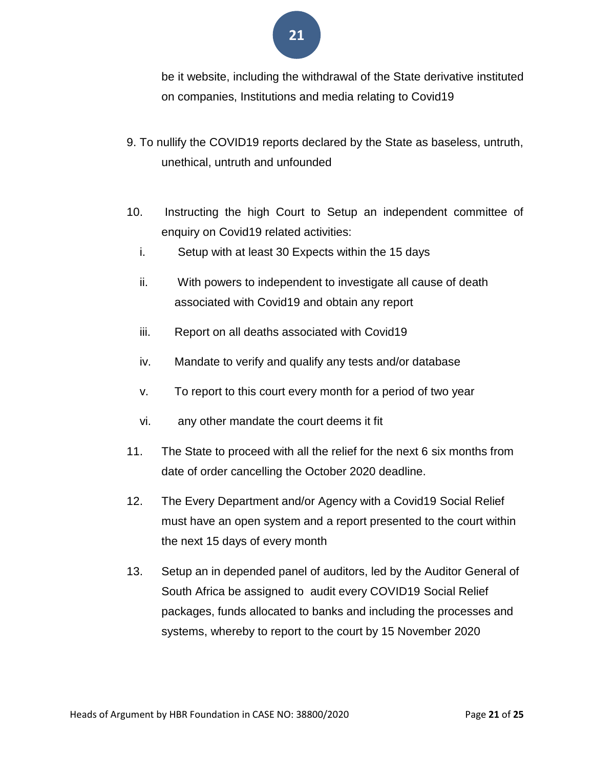

be it website, including the withdrawal of the State derivative instituted on companies, Institutions and media relating to Covid19

- 9. To nullify the COVID19 reports declared by the State as baseless, untruth, unethical, untruth and unfounded
- 10. Instructing the high Court to Setup an independent committee of enquiry on Covid19 related activities:
	- i. Setup with at least 30 Expects within the 15 days
	- ii. With powers to independent to investigate all cause of death associated with Covid19 and obtain any report
	- iii. Report on all deaths associated with Covid19
	- iv. Mandate to verify and qualify any tests and/or database
	- v. To report to this court every month for a period of two year
	- vi. any other mandate the court deems it fit
- 11. The State to proceed with all the relief for the next 6 six months from date of order cancelling the October 2020 deadline.
- 12. The Every Department and/or Agency with a Covid19 Social Relief must have an open system and a report presented to the court within the next 15 days of every month
- 13. Setup an in depended panel of auditors, led by the Auditor General of South Africa be assigned to audit every COVID19 Social Relief packages, funds allocated to banks and including the processes and systems, whereby to report to the court by 15 November 2020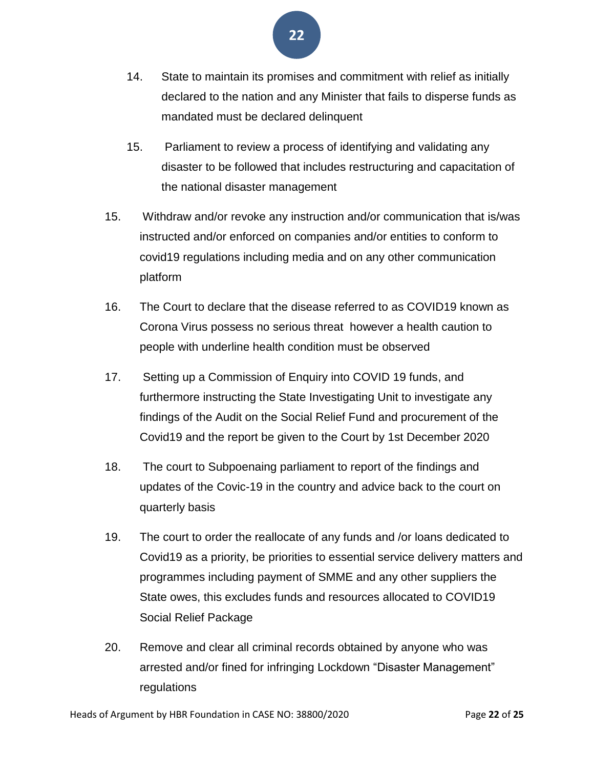

- 14. State to maintain its promises and commitment with relief as initially declared to the nation and any Minister that fails to disperse funds as mandated must be declared delinquent
- 15. Parliament to review a process of identifying and validating any disaster to be followed that includes restructuring and capacitation of the national disaster management
- 15. Withdraw and/or revoke any instruction and/or communication that is/was instructed and/or enforced on companies and/or entities to conform to covid19 regulations including media and on any other communication platform
- 16. The Court to declare that the disease referred to as COVID19 known as Corona Virus possess no serious threat however a health caution to people with underline health condition must be observed
- 17. Setting up a Commission of Enquiry into COVID 19 funds, and furthermore instructing the State Investigating Unit to investigate any findings of the Audit on the Social Relief Fund and procurement of the Covid19 and the report be given to the Court by 1st December 2020
- 18. The court to Subpoenaing parliament to report of the findings and updates of the Covic-19 in the country and advice back to the court on quarterly basis
- 19. The court to order the reallocate of any funds and /or loans dedicated to Covid19 as a priority, be priorities to essential service delivery matters and programmes including payment of SMME and any other suppliers the State owes, this excludes funds and resources allocated to COVID19 Social Relief Package
- 20. Remove and clear all criminal records obtained by anyone who was arrested and/or fined for infringing Lockdown "Disaster Management" regulations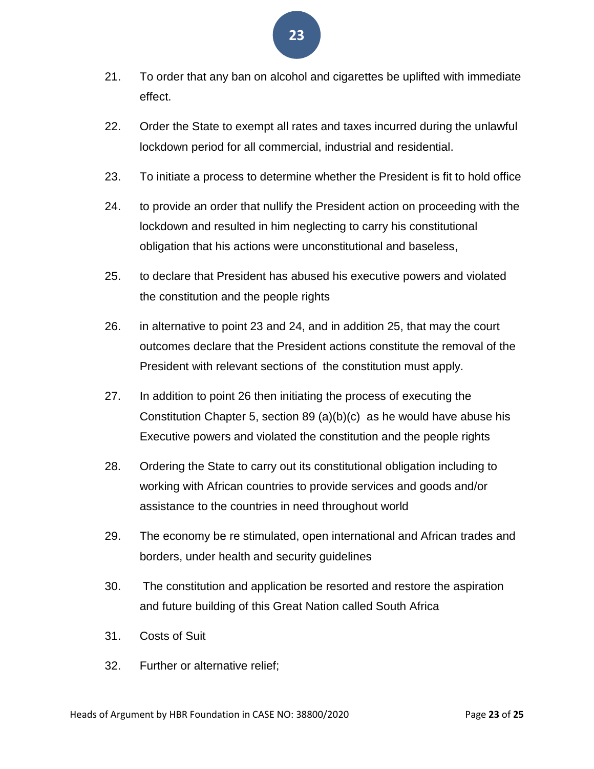- 21. To order that any ban on alcohol and cigarettes be uplifted with immediate effect.
- 22. Order the State to exempt all rates and taxes incurred during the unlawful lockdown period for all commercial, industrial and residential.
- 23. To initiate a process to determine whether the President is fit to hold office
- 24. to provide an order that nullify the President action on proceeding with the lockdown and resulted in him neglecting to carry his constitutional obligation that his actions were unconstitutional and baseless,
- 25. to declare that President has abused his executive powers and violated the constitution and the people rights
- 26. in alternative to point 23 and 24, and in addition 25, that may the court outcomes declare that the President actions constitute the removal of the President with relevant sections of the constitution must apply.
- 27. In addition to point 26 then initiating the process of executing the Constitution Chapter 5, section 89 (a)(b)(c) as he would have abuse his Executive powers and violated the constitution and the people rights
- 28. Ordering the State to carry out its constitutional obligation including to working with African countries to provide services and goods and/or assistance to the countries in need throughout world
- 29. The economy be re stimulated, open international and African trades and borders, under health and security guidelines
- 30. The constitution and application be resorted and restore the aspiration and future building of this Great Nation called South Africa
- 31. Costs of Suit
- 32. Further or alternative relief;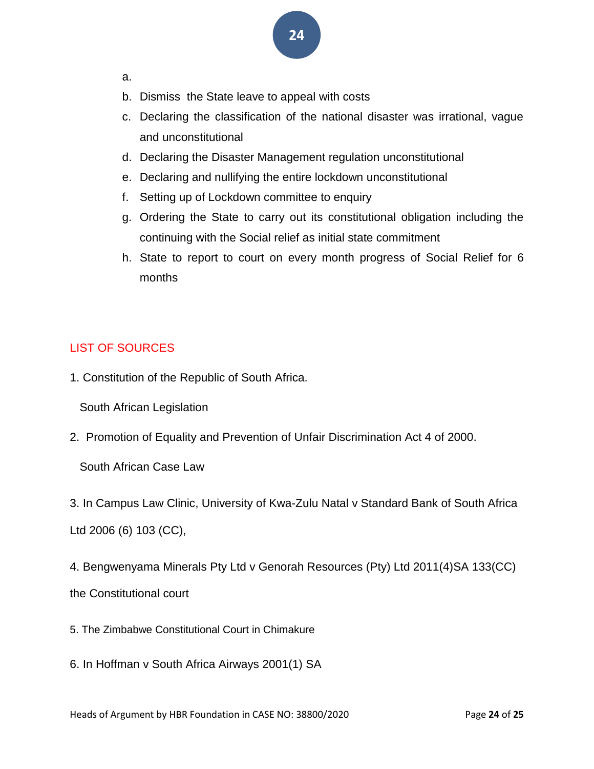- a.
- b. Dismiss the State leave to appeal with costs
- c. Declaring the classification of the national disaster was irrational, vague and unconstitutional
- d. Declaring the Disaster Management regulation unconstitutional
- e. Declaring and nullifying the entire lockdown unconstitutional
- f. Setting up of Lockdown committee to enquiry
- g. Ordering the State to carry out its constitutional obligation including the continuing with the Social relief as initial state commitment
- h. State to report to court on every month progress of Social Relief for 6 months

## LIST OF SOURCES

1. Constitution of the Republic of South Africa.

South African Legislation

2. Promotion of Equality and Prevention of Unfair Discrimination Act 4 of 2000.

South African Case Law

3. In Campus Law Clinic, University of Kwa-Zulu Natal v Standard Bank of South Africa

Ltd 2006 (6) 103 (CC),

4. Bengwenyama Minerals Pty Ltd v Genorah Resources (Pty) Ltd 2011(4)SA 133(CC)

the Constitutional court

- 5. The Zimbabwe Constitutional Court in Chimakure
- 6. In Hoffman v South Africa Airways 2001(1) SA